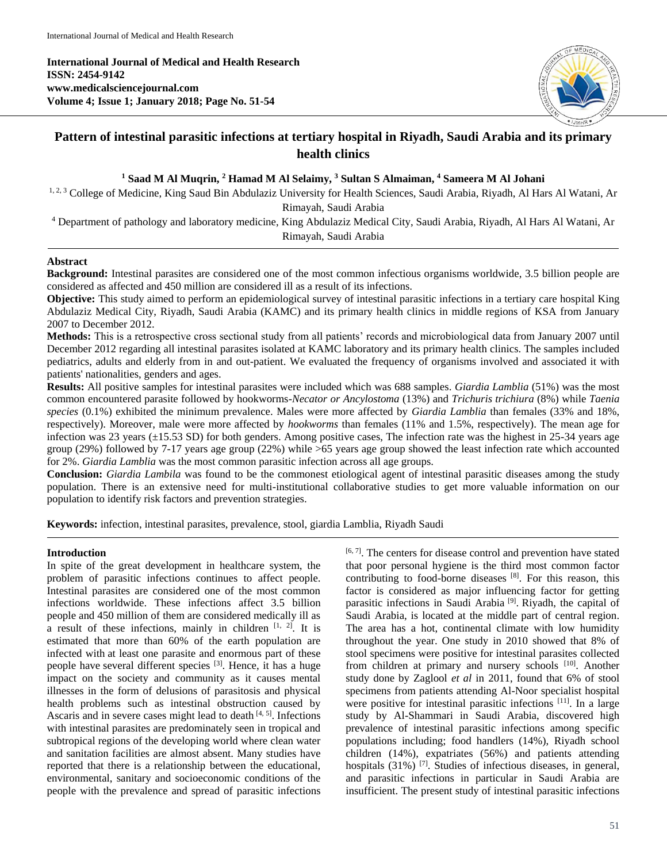**International Journal of Medical and Health Research ISSN: 2454-9142 www.medicalsciencejournal.com Volume 4; Issue 1; January 2018; Page No. 51-54**



# **Pattern of intestinal parasitic infections at tertiary hospital in Riyadh, Saudi Arabia and its primary health clinics**

**<sup>1</sup> Saad M Al Muqrin, <sup>2</sup> Hamad M Al Selaimy, <sup>3</sup> Sultan S Almaiman, <sup>4</sup> Sameera M Al Johani**

<sup>1, 2, 3</sup> College of Medicine, King Saud Bin Abdulaziz University for Health Sciences, Saudi Arabia, Riyadh, Al Hars Al Watani, Ar

Rimayah, Saudi Arabia

<sup>4</sup> Department of pathology and laboratory medicine, King Abdulaziz Medical City, Saudi Arabia, Riyadh, Al Hars Al Watani, Ar Rimayah, Saudi Arabia

## **Abstract**

**Background:** Intestinal parasites are considered one of the most common infectious organisms worldwide, 3.5 billion people are considered as affected and 450 million are considered ill as a result of its infections.

**Objective:** This study aimed to perform an epidemiological survey of intestinal parasitic infections in a tertiary care hospital King Abdulaziz Medical City, Riyadh, Saudi Arabia (KAMC) and its primary health clinics in middle regions of KSA from January 2007 to December 2012.

**Methods:** This is a retrospective cross sectional study from all patients' records and microbiological data from January 2007 until December 2012 regarding all intestinal parasites isolated at KAMC laboratory and its primary health clinics. The samples included pediatrics, adults and elderly from in and out-patient. We evaluated the frequency of organisms involved and associated it with patients' nationalities, genders and ages.

**Results:** All positive samples for intestinal parasites were included which was 688 samples. *Giardia Lamblia* (51%) was the most common encountered parasite followed by hookworms-*Necator or Ancylostoma* (13%) and *Trichuris trichiura* (8%) while *Taenia species* (0.1%) exhibited the minimum prevalence. Males were more affected by *Giardia Lamblia* than females (33% and 18%, respectively). Moreover, male were more affected by *hookworms* than females (11% and 1.5%, respectively). The mean age for infection was 23 years (±15.53 SD) for both genders. Among positive cases, The infection rate was the highest in 25-34 years age group (29%) followed by 7-17 years age group (22%) while >65 years age group showed the least infection rate which accounted for 2%. *Giardia Lamblia* was the most common parasitic infection across all age groups.

**Conclusion:** *Giardia Lambila* was found to be the commonest etiological agent of intestinal parasitic diseases among the study population. There is an extensive need for multi-institutional collaborative studies to get more valuable information on our population to identify risk factors and prevention strategies.

**Keywords:** infection, intestinal parasites, prevalence, stool, giardia Lamblia, Riyadh Saudi

## **Introduction**

In spite of the great development in healthcare system, the problem of parasitic infections continues to affect people. Intestinal parasites are considered one of the most common infections worldwide. These infections affect 3.5 billion people and 450 million of them are considered medically ill as a result of these infections, mainly in children  $[1, 2]$ . It is estimated that more than 60% of the earth population are infected with at least one parasite and enormous part of these people have several different species [3]. Hence, it has a huge impact on the society and community as it causes mental illnesses in the form of delusions of parasitosis and physical health problems such as intestinal obstruction caused by Ascaris and in severe cases might lead to death  $[4, 5]$ . Infections with intestinal parasites are predominately seen in tropical and subtropical regions of the developing world where clean water and sanitation facilities are almost absent. Many studies have reported that there is a relationship between the educational, environmental, sanitary and socioeconomic conditions of the people with the prevalence and spread of parasitic infections

[6, 7]. The centers for disease control and prevention have stated that poor personal hygiene is the third most common factor contributing to food-borne diseases [8]. For this reason, this factor is considered as major influencing factor for getting parasitic infections in Saudi Arabia<sup>[9]</sup>. Riyadh, the capital of Saudi Arabia, is located at the middle part of central region. The area has a hot, continental climate with low humidity throughout the year. One study in 2010 showed that 8% of stool specimens were positive for intestinal parasites collected from children at primary and nursery schools [10]. Another study done by Zaglool *et al* in 2011, found that 6% of stool specimens from patients attending Al-Noor specialist hospital were positive for intestinal parasitic infections <sup>[11]</sup>. In a large study by Al-Shammari in Saudi Arabia, discovered high prevalence of intestinal parasitic infections among specific populations including; food handlers (14%), Riyadh school children (14%), expatriates (56%) and patients attending hospitals (31%) <sup>[7]</sup>. Studies of infectious diseases, in general, and parasitic infections in particular in Saudi Arabia are insufficient. The present study of intestinal parasitic infections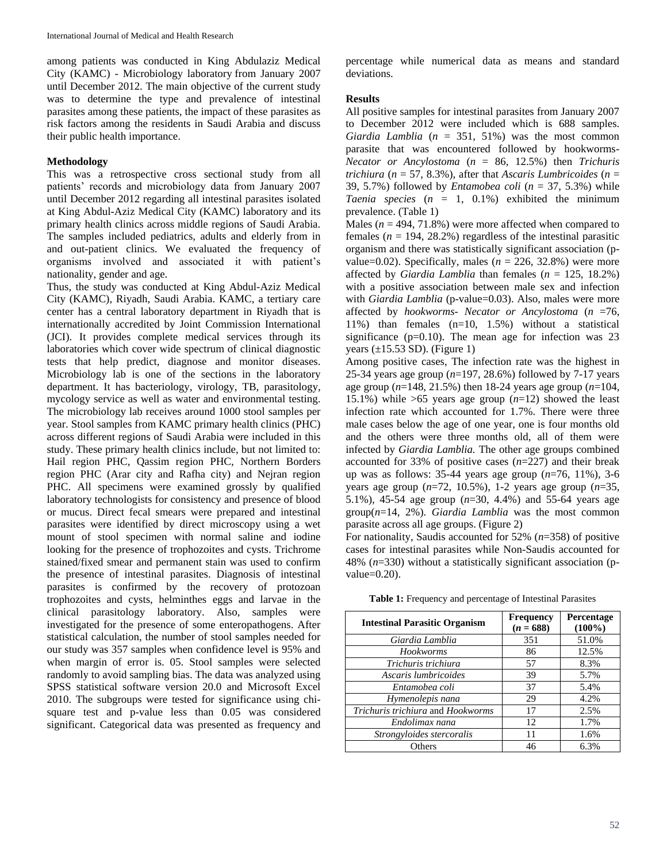among patients was conducted in King Abdulaziz Medical City (KAMC) - Microbiology laboratory from January 2007 until December 2012. The main objective of the current study was to determine the type and prevalence of intestinal parasites among these patients, the impact of these parasites as risk factors among the residents in Saudi Arabia and discuss their public health importance.

# **Methodology**

This was a retrospective cross sectional study from all patients' records and microbiology data from January 2007 until December 2012 regarding all intestinal parasites isolated at King Abdul-Aziz Medical City (KAMC) laboratory and its primary health clinics across middle regions of Saudi Arabia. The samples included pediatrics, adults and elderly from in and out-patient clinics. We evaluated the frequency of organisms involved and associated it with patient's nationality, gender and age.

Thus, the study was conducted at King Abdul-Aziz Medical City (KAMC), Riyadh, Saudi Arabia. KAMC, a tertiary care center has a central laboratory department in Riyadh that is internationally accredited by Joint Commission International (JCI). It provides complete medical services through its laboratories which cover wide spectrum of clinical diagnostic tests that help predict, diagnose and monitor diseases. Microbiology lab is one of the sections in the laboratory department. It has bacteriology, virology, TB, parasitology, mycology service as well as water and environmental testing. The microbiology lab receives around 1000 stool samples per year. Stool samples from KAMC primary health clinics (PHC) across different regions of Saudi Arabia were included in this study. These primary health clinics include, but not limited to: Hail region PHC, Qassim region PHC, Northern Borders region PHC (Arar city and Rafha city) and Nejran region PHC. All specimens were examined grossly by qualified laboratory technologists for consistency and presence of blood or mucus. Direct fecal smears were prepared and intestinal parasites were identified by direct microscopy using a wet mount of stool specimen with normal saline and iodine looking for the presence of trophozoites and cysts. Trichrome stained/fixed smear and permanent stain was used to confirm the presence of intestinal parasites. Diagnosis of intestinal parasites is confirmed by the recovery of protozoan trophozoites and cysts, helminthes eggs and larvae in the clinical parasitology laboratory. Also, samples were investigated for the presence of some enteropathogens. After statistical calculation, the number of stool samples needed for our study was 357 samples when confidence level is 95% and when margin of error is. 05. Stool samples were selected randomly to avoid sampling bias. The data was analyzed using SPSS statistical software version 20.0 and Microsoft Excel 2010. The subgroups were tested for significance using chisquare test and p-value less than 0.05 was considered significant. Categorical data was presented as frequency and

percentage while numerical data as means and standard deviations.

# **Results**

All positive samples for intestinal parasites from January 2007 to December 2012 were included which is 688 samples. *Giardia Lamblia* (*n* = 351, 51%) was the most common parasite that was encountered followed by hookworms-*Necator or Ancylostoma* (*n* = 86, 12.5%) then *Trichuris trichiura* (*n* = 57, 8.3%), after that *Ascaris Lumbricoides* (*n* = 39, 5.7%) followed by *Entamobea coli* (*n* = 37, 5.3%) while *Taenia species*  $(n = 1, 0.1\%)$  exhibited the minimum prevalence. (Table 1)

Males ( $n = 494, 71.8\%$ ) were more affected when compared to females  $(n = 194, 28.2\%)$  regardless of the intestinal parasitic organism and there was statistically significant association (pvalue=0.02). Specifically, males  $(n = 226, 32.8%)$  were more affected by *Giardia Lamblia* than females (*n* = 125, 18.2%) with a positive association between male sex and infection with *Giardia Lamblia* (p-value=0.03). Also, males were more affected by *hookworms*- *Necator or Ancylostoma* (*n* =76, 11%) than females (n=10, 1.5%) without a statistical significance ( $p=0.10$ ). The mean age for infection was 23 years  $(\pm 15.53$  SD). (Figure 1)

Among positive cases, The infection rate was the highest in 25-34 years age group (*n*=197, 28.6%) followed by 7-17 years age group (*n*=148, 21.5%) then 18-24 years age group (*n*=104, 15.1%) while >65 years age group (*n*=12) showed the least infection rate which accounted for 1.7%. There were three male cases below the age of one year, one is four months old and the others were three months old, all of them were infected by *Giardia Lamblia.* The other age groups combined accounted for 33% of positive cases (*n*=227) and their break up was as follows: 35-44 years age group (*n*=76, 11%), 3-6 years age group (*n*=72, 10.5%), 1-2 years age group (*n*=35, 5.1%), 45-54 age group (*n*=30, 4.4%) and 55-64 years age group(*n*=14, 2%). *Giardia Lamblia* was the most common parasite across all age groups. (Figure 2)

For nationality, Saudis accounted for 52% (*n*=358) of positive cases for intestinal parasites while Non-Saudis accounted for 48% (*n*=330) without a statistically significant association (pvalue=0.20).

|  |  |  | <b>Table 1:</b> Frequency and percentage of Intestinal Parasites |
|--|--|--|------------------------------------------------------------------|
|--|--|--|------------------------------------------------------------------|

| <b>Intestinal Parasitic Organism</b> | <b>Frequency</b><br>$(n = 688)$ | Percentage<br>$(100\%)$ |
|--------------------------------------|---------------------------------|-------------------------|
| Giardia Lamblia                      | 351                             | 51.0%                   |
| <b>Hookworms</b>                     | 86                              | 12.5%                   |
| Trichuris trichiura                  | 57                              | 8.3%                    |
| Ascaris lumbricoides                 | 39                              | 5.7%                    |
| Entamobea coli                       | 37                              | 5.4%                    |
| Hymenolepis nana                     | 29                              | 4.2%                    |
| Trichuris trichiura and Hookworms    | 17                              | 2.5%                    |
| Endolimax nana                       | 12                              | 1.7%                    |
| Strongyloides stercoralis            | 11                              | 1.6%                    |
| Others                               | 46                              | 6.3%                    |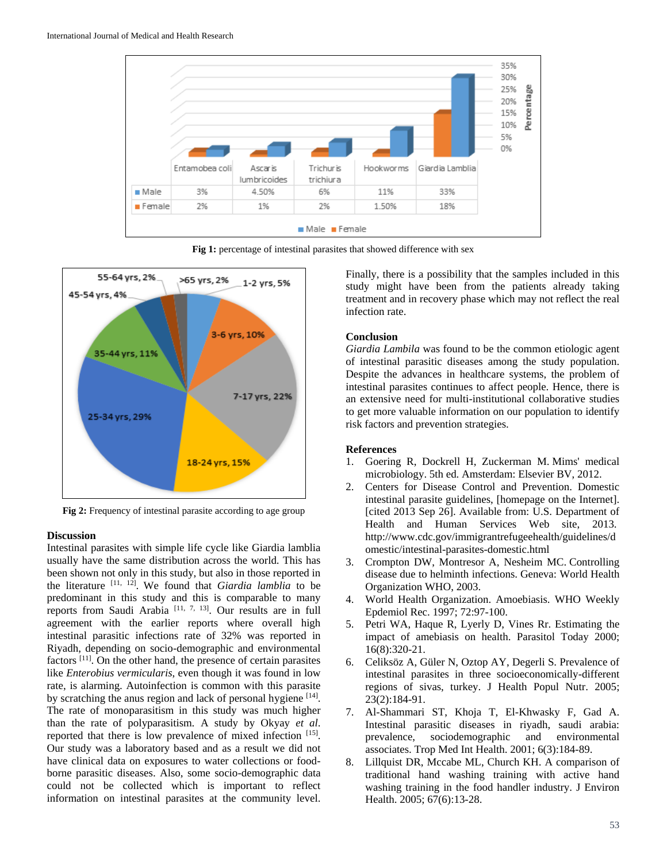

Fig 1: percentage of intestinal parasites that showed difference with sex



**Fig 2:** Frequency of intestinal parasite according to age group

### **Discussion**

Intestinal parasites with simple life cycle like Giardia lamblia usually have the same distribution across the world. This has been shown not only in this study, but also in those reported in the literature [11, 12] . We found that *Giardia lamblia* to be predominant in this study and this is comparable to many reports from Saudi Arabia  $[11, 7, 13]$ . Our results are in full agreement with the earlier reports where overall high intestinal parasitic infections rate of 32% was reported in Riyadh, depending on socio-demographic and environmental factors<sup>[11]</sup>. On the other hand, the presence of certain parasites like *Enterobius vermicularis*, even though it was found in low rate, is alarming. Autoinfection is common with this parasite by scratching the anus region and lack of personal hygiene [14]. The rate of monoparasitism in this study was much higher than the rate of polyparasitism. A study by Okyay *et al*. reported that there is low prevalence of mixed infection [15]. Our study was a laboratory based and as a result we did not have clinical data on exposures to water collections or foodborne parasitic diseases. Also, some socio-demographic data could not be collected which is important to reflect information on intestinal parasites at the community level.

Finally, there is a possibility that the samples included in this study might have been from the patients already taking treatment and in recovery phase which may not reflect the real infection rate.

#### **Conclusion**

*Giardia Lambila* was found to be the common etiologic agent of intestinal parasitic diseases among the study population. Despite the advances in healthcare systems, the problem of intestinal parasites continues to affect people. Hence, there is an extensive need for multi-institutional collaborative studies to get more valuable information on our population to identify risk factors and prevention strategies.

#### **References**

- 1. Goering R, Dockrell H, Zuckerman M. Mims' medical microbiology. 5th ed. Amsterdam: Elsevier BV, 2012.
- 2. Centers for Disease Control and Prevention. Domestic intestinal parasite guidelines, [homepage on the Internet]. [cited 2013 Sep 26]. Available from: U.S. Department of Health and Human Services Web site, 2013. http://www.cdc.gov/immigrantrefugeehealth/guidelines/d omestic/intestinal-parasites-domestic.html
- 3. Crompton DW, Montresor A, Nesheim MC. Controlling disease due to helminth infections. Geneva: World Health Organization WHO, 2003.
- 4. World Health Organization. Amoebiasis. WHO Weekly Epdemiol Rec. 1997; 72:97-100.
- 5. Petri WA, Haque R, Lyerly D, Vines Rr. Estimating the impact of amebiasis on health. Parasitol Today 2000; 16(8):320-21.
- 6. Celiksöz A, Güler N, Oztop AY, Degerli S. Prevalence of intestinal parasites in three socioeconomically-different regions of sivas, turkey. J Health Popul Nutr. 2005; 23(2):184-91.
- 7. Al-Shammari ST, Khoja T, El-Khwasky F, Gad A. Intestinal parasitic diseases in riyadh, saudi arabia: prevalence, sociodemographic and environmental associates. Trop Med Int Health. 2001; 6(3):184-89.
- 8. Lillquist DR, Mccabe ML, Church KH. A comparison of traditional hand washing training with active hand washing training in the food handler industry. J Environ Health. 2005; 67(6):13-28.